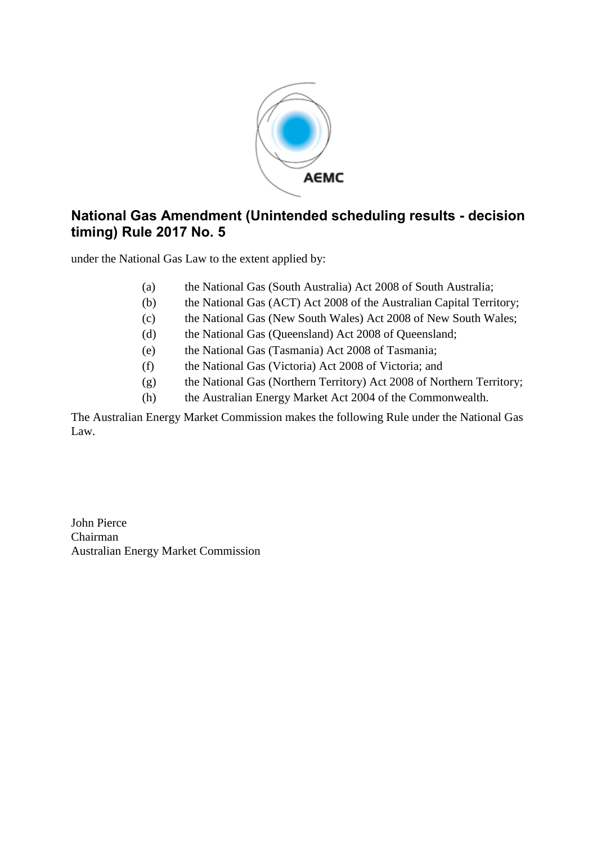

## **National Gas Amendment (Unintended scheduling results - decision timing) Rule 2017 No. 5**

under the National Gas Law to the extent applied by:

- (a) the National Gas (South Australia) Act 2008 of South Australia;
- (b) the National Gas (ACT) Act 2008 of the Australian Capital Territory;
- (c) the National Gas (New South Wales) Act 2008 of New South Wales;
- (d) the National Gas (Queensland) Act 2008 of Queensland;
- (e) the National Gas (Tasmania) Act 2008 of Tasmania;
- (f) the National Gas (Victoria) Act 2008 of Victoria; and
- (g) the National Gas (Northern Territory) Act 2008 of Northern Territory;
- (h) the Australian Energy Market Act 2004 of the Commonwealth.

The Australian Energy Market Commission makes the following Rule under the National Gas Law.

John Pierce Chairman Australian Energy Market Commission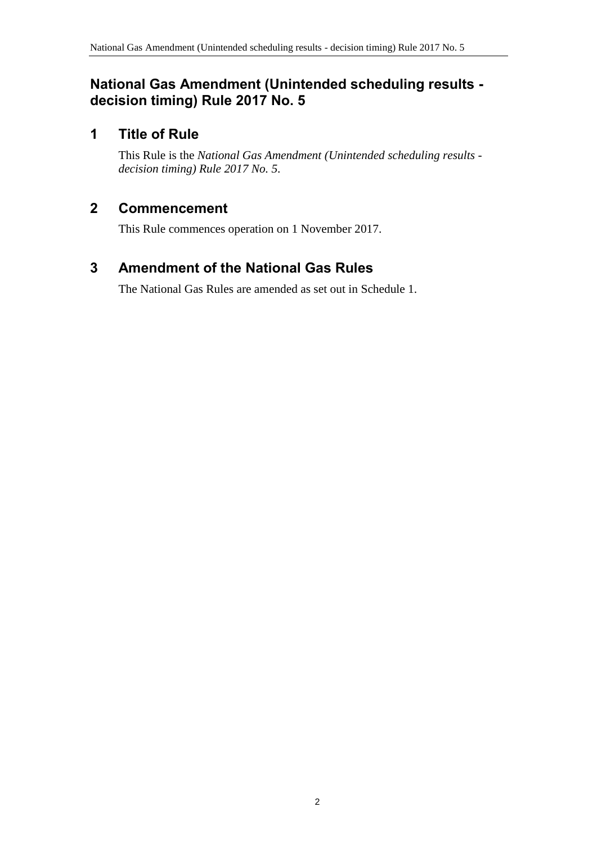#### **National Gas Amendment (Unintended scheduling results decision timing) Rule 2017 No. 5**

#### **1 Title of Rule**

This Rule is the *National Gas Amendment (Unintended scheduling results decision timing) Rule 2017 No. 5*.

## **2 Commencement**

This Rule commences operation on 1 November 2017.

# <span id="page-1-0"></span>**3 Amendment of the National Gas Rules**

The National Gas Rules are amended as set out in [Schedule 1.](#page-2-0)